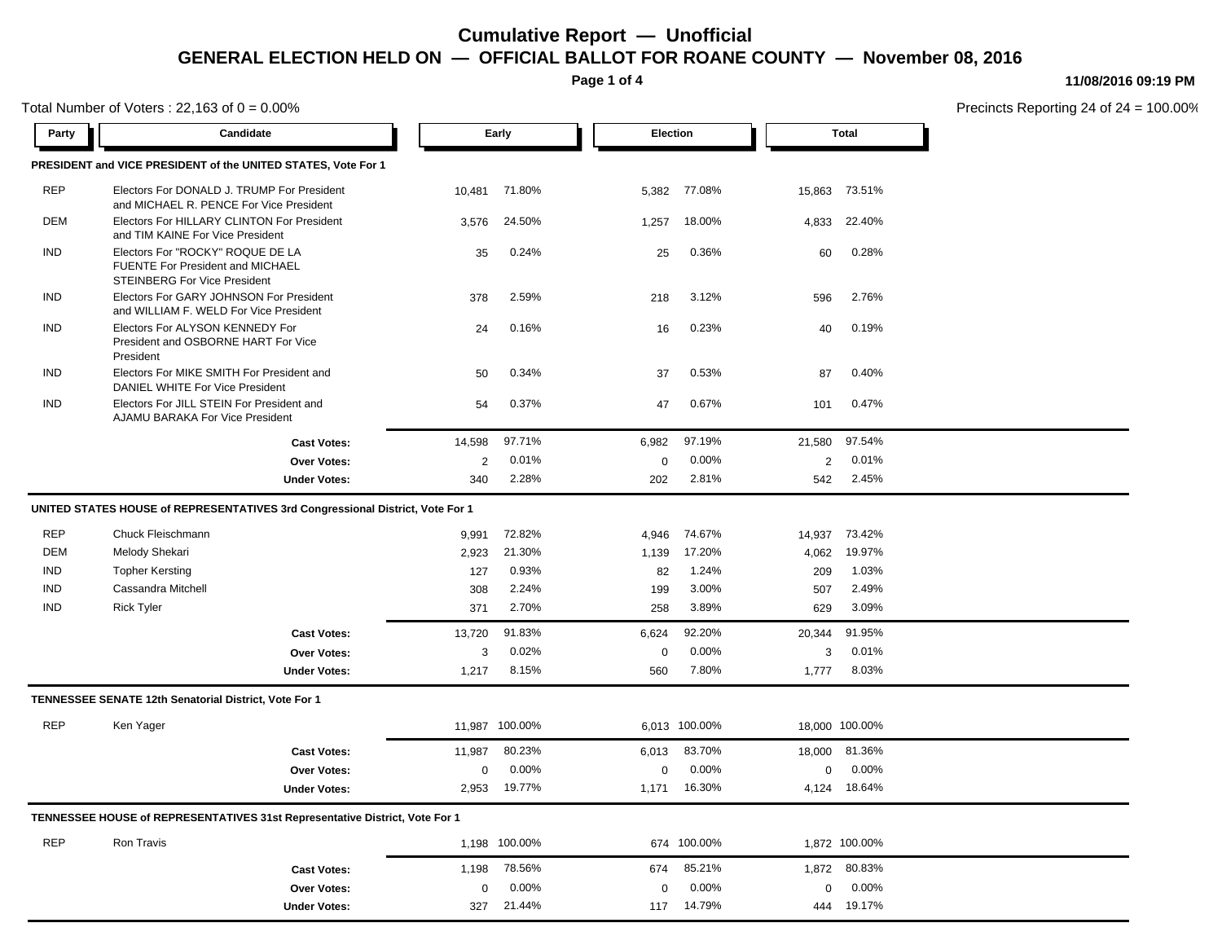**Page 1 of 4**

#### **11/08/2016 09:19 PM**

Precincts Reporting 24 of 24 = 100.00%

|            | Total Number of Voters: $22,163$ of $0 = 0.00\%$                                                                   |                     |                |                |       |                 |                | Precincts Reporting 24 of 24 |  |
|------------|--------------------------------------------------------------------------------------------------------------------|---------------------|----------------|----------------|-------|-----------------|----------------|------------------------------|--|
| Party      | Candidate                                                                                                          |                     |                | Early          |       | <b>Election</b> |                | <b>Total</b>                 |  |
|            | PRESIDENT and VICE PRESIDENT of the UNITED STATES, Vote For 1                                                      |                     |                |                |       |                 |                |                              |  |
| <b>REP</b> | Electors For DONALD J. TRUMP For President<br>and MICHAEL R. PENCE For Vice President                              |                     | 10,481         | 71.80%         | 5,382 | 77.08%          | 15,863         | 73.51%                       |  |
| DEM        | Electors For HILLARY CLINTON For President<br>and TIM KAINE For Vice President                                     |                     | 3,576          | 24.50%         | 1,257 | 18.00%          |                | 4,833 22.40%                 |  |
| <b>IND</b> | Electors For "ROCKY" ROQUE DE LA<br><b>FUENTE For President and MICHAEL</b><br><b>STEINBERG For Vice President</b> |                     | 35             | 0.24%          | 25    | 0.36%           | 60             | 0.28%                        |  |
| <b>IND</b> | Electors For GARY JOHNSON For President<br>and WILLIAM F. WELD For Vice President                                  |                     | 378            | 2.59%          | 218   | 3.12%           | 596            | 2.76%                        |  |
| <b>IND</b> | Electors For ALYSON KENNEDY For<br>President and OSBORNE HART For Vice<br>President                                |                     | 24             | 0.16%          | 16    | 0.23%           | 40             | 0.19%                        |  |
| <b>IND</b> | Electors For MIKE SMITH For President and<br>DANIEL WHITE For Vice President                                       |                     | 50             | 0.34%          | 37    | 0.53%           | 87             | 0.40%                        |  |
| IND        | Electors For JILL STEIN For President and<br><b>AJAMU BARAKA For Vice President</b>                                | 54                  | 0.37%          | 47             | 0.67% | 101             | 0.47%          |                              |  |
|            |                                                                                                                    | <b>Cast Votes:</b>  | 14,598         | 97.71%         | 6,982 | 97.19%          | 21,580         | 97.54%                       |  |
|            |                                                                                                                    | Over Votes:         | $\overline{2}$ | 0.01%          | 0     | 0.00%           | $\overline{2}$ | 0.01%                        |  |
|            |                                                                                                                    | <b>Under Votes:</b> | 340            | 2.28%          | 202   | 2.81%           | 542            | 2.45%                        |  |
|            | UNITED STATES HOUSE of REPRESENTATIVES 3rd Congressional District, Vote For 1                                      |                     |                |                |       |                 |                |                              |  |
| <b>REP</b> | Chuck Fleischmann                                                                                                  |                     | 9,991          | 72.82%         | 4,946 | 74.67%          | 14,937         | 73.42%                       |  |
| DEM        | Melody Shekari                                                                                                     |                     | 2,923          | 21.30%         | 1,139 | 17.20%          | 4,062          | 19.97%                       |  |
| IND        | <b>Topher Kersting</b>                                                                                             |                     | 127            | 0.93%          | 82    | 1.24%           | 209            | 1.03%                        |  |
| IND        | Cassandra Mitchell                                                                                                 |                     | 308            | 2.24%          | 199   | 3.00%           | 507            | 2.49%                        |  |
| IND        | <b>Rick Tyler</b>                                                                                                  |                     | 371            | 2.70%          | 258   | 3.89%           | 629            | 3.09%                        |  |
|            |                                                                                                                    | <b>Cast Votes:</b>  | 13,720         | 91.83%         | 6,624 | 92.20%          | 20,344         | 91.95%                       |  |
|            |                                                                                                                    | <b>Over Votes:</b>  | 3              | 0.02%          | 0     | 0.00%           | 3              | 0.01%                        |  |
|            |                                                                                                                    | <b>Under Votes:</b> | 1,217          | 8.15%          | 560   | 7.80%           | 1,777          | 8.03%                        |  |
|            | TENNESSEE SENATE 12th Senatorial District, Vote For 1                                                              |                     |                |                |       |                 |                |                              |  |
| <b>REP</b> | Ken Yager                                                                                                          |                     |                | 11,987 100.00% |       | 6,013 100.00%   |                | 18,000 100.00%               |  |
|            |                                                                                                                    | <b>Cast Votes:</b>  | 11,987         | 80.23%         | 6,013 | 83.70%          | 18,000         | 81.36%                       |  |
|            |                                                                                                                    | <b>Over Votes:</b>  | 0              | 0.00%          | 0     | 0.00%           | 0              | 0.00%                        |  |
|            |                                                                                                                    | <b>Under Votes:</b> | 2,953          | 19.77%         | 1,171 | 16.30%          |                | 4,124 18.64%                 |  |
|            | TENNESSEE HOUSE of REPRESENTATIVES 31st Representative District, Vote For 1                                        |                     |                |                |       |                 |                |                              |  |
| <b>REP</b> | Ron Travis                                                                                                         |                     |                | 1,198 100.00%  |       | 674 100.00%     |                | 1,872 100.00%                |  |
|            |                                                                                                                    | <b>Cast Votes:</b>  | 1,198          | 78.56%         | 674   | 85.21%          |                | 1,872 80.83%                 |  |
|            |                                                                                                                    | Over Votes:         | 0              | 0.00%          | 0     | 0.00%           | 0              | 0.00%                        |  |
|            |                                                                                                                    | <b>Under Votes:</b> | 327            | 21.44%         | 117   | 14.79%          |                | 444 19.17%                   |  |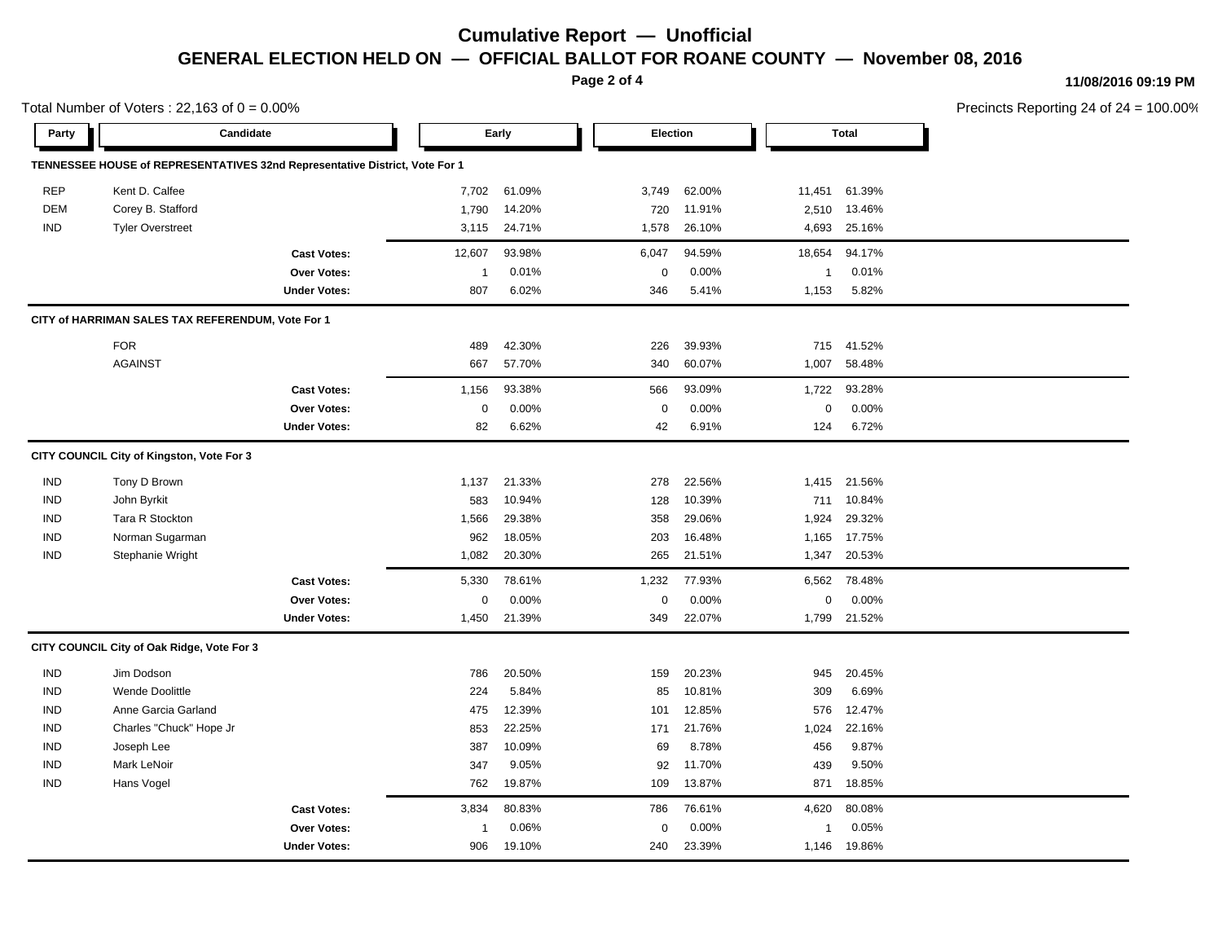**Page 2 of 4**

**11/08/2016 09:19 PM**

|            | Total Number of Voters: $22,163$ of $0 = 0.00\%$                            |                     |                |        |             |          |                  | Precincts Reporting 24 of 24 = 100.00% |  |
|------------|-----------------------------------------------------------------------------|---------------------|----------------|--------|-------------|----------|------------------|----------------------------------------|--|
| Party      | Candidate                                                                   |                     |                | Early  |             | Election |                  | <b>Total</b>                           |  |
|            | TENNESSEE HOUSE of REPRESENTATIVES 32nd Representative District, Vote For 1 |                     |                |        |             |          |                  |                                        |  |
| <b>REP</b> | Kent D. Calfee                                                              |                     | 7,702          | 61.09% | 3,749       | 62.00%   | 11,451           | 61.39%                                 |  |
| <b>DEM</b> | Corey B. Stafford                                                           |                     | 1,790          | 14.20% | 720         | 11.91%   | 2,510            | 13.46%                                 |  |
| <b>IND</b> | <b>Tyler Overstreet</b>                                                     |                     | 3,115          | 24.71% | 1,578       | 26.10%   |                  | 4,693 25.16%                           |  |
|            |                                                                             | <b>Cast Votes:</b>  | 12,607         | 93.98% | 6,047       | 94.59%   | 18,654           | 94.17%                                 |  |
|            |                                                                             | Over Votes:         | $\overline{1}$ | 0.01%  | $\mathbf 0$ | 0.00%    | $\mathbf{1}$     | 0.01%                                  |  |
|            |                                                                             | <b>Under Votes:</b> | 807            | 6.02%  | 346         | 5.41%    | 1,153            | 5.82%                                  |  |
|            | CITY of HARRIMAN SALES TAX REFERENDUM, Vote For 1                           |                     |                |        |             |          |                  |                                        |  |
|            | <b>FOR</b>                                                                  |                     | 489            | 42.30% | 226         | 39.93%   | 715              | 41.52%                                 |  |
|            | <b>AGAINST</b>                                                              |                     | 667            | 57.70% | 340         | 60.07%   | 1,007            | 58.48%                                 |  |
|            |                                                                             | <b>Cast Votes:</b>  | 1,156          | 93.38% | 566         | 93.09%   |                  | 1,722 93.28%                           |  |
|            |                                                                             | Over Votes:         | 0              | 0.00%  | $\pmb{0}$   | 0.00%    | $\boldsymbol{0}$ | 0.00%                                  |  |
|            |                                                                             | <b>Under Votes:</b> | 82             | 6.62%  | 42          | 6.91%    | 124              | 6.72%                                  |  |
|            | CITY COUNCIL City of Kingston, Vote For 3                                   |                     |                |        |             |          |                  |                                        |  |
| <b>IND</b> | Tony D Brown                                                                |                     | 1,137          | 21.33% | 278         | 22.56%   |                  | 1,415 21.56%                           |  |
| <b>IND</b> | John Byrkit                                                                 |                     | 583            | 10.94% | 128         | 10.39%   |                  | 711 10.84%                             |  |
| <b>IND</b> | Tara R Stockton                                                             |                     | 1,566          | 29.38% | 358         | 29.06%   | 1,924            | 29.32%                                 |  |
| <b>IND</b> | Norman Sugarman                                                             |                     | 962            | 18.05% | 203         | 16.48%   | 1,165            | 17.75%                                 |  |
| <b>IND</b> | Stephanie Wright                                                            |                     | 1,082          | 20.30% | 265         | 21.51%   |                  | 1,347 20.53%                           |  |
|            |                                                                             | <b>Cast Votes:</b>  | 5,330          | 78.61% | 1,232       | 77.93%   |                  | 6,562 78.48%                           |  |
|            |                                                                             | Over Votes:         | 0              | 0.00%  | $\mathbf 0$ | 0.00%    | $\mathbf 0$      | 0.00%                                  |  |
|            |                                                                             | <b>Under Votes:</b> | 1,450          | 21.39% | 349         | 22.07%   |                  | 1,799 21.52%                           |  |
|            | CITY COUNCIL City of Oak Ridge, Vote For 3                                  |                     |                |        |             |          |                  |                                        |  |
| <b>IND</b> | Jim Dodson                                                                  |                     | 786            | 20.50% | 159         | 20.23%   | 945              | 20.45%                                 |  |
| <b>IND</b> | <b>Wende Doolittle</b>                                                      |                     | 224            | 5.84%  | 85          | 10.81%   | 309              | 6.69%                                  |  |
| <b>IND</b> | Anne Garcia Garland                                                         |                     | 475            | 12.39% | 101         | 12.85%   | 576              | 12.47%                                 |  |
| <b>IND</b> | Charles "Chuck" Hope Jr                                                     |                     | 853            | 22.25% | 171         | 21.76%   | 1,024            | 22.16%                                 |  |
| <b>IND</b> | Joseph Lee                                                                  |                     | 387            | 10.09% | 69          | 8.78%    | 456              | 9.87%                                  |  |
| <b>IND</b> | Mark LeNoir                                                                 |                     | 347            | 9.05%  | 92          | 11.70%   | 439              | 9.50%                                  |  |
| <b>IND</b> | Hans Vogel                                                                  |                     | 762            | 19.87% | 109         | 13.87%   | 871              | 18.85%                                 |  |
|            |                                                                             | <b>Cast Votes:</b>  | 3,834          | 80.83% | 786         | 76.61%   | 4,620            | 80.08%                                 |  |
|            |                                                                             | Over Votes:         | -1             | 0.06%  | $\mathbf 0$ | 0.00%    | $\mathbf{1}$     | 0.05%                                  |  |
|            |                                                                             | <b>Under Votes:</b> | 906            | 19.10% | 240         | 23.39%   |                  | 1,146 19.86%                           |  |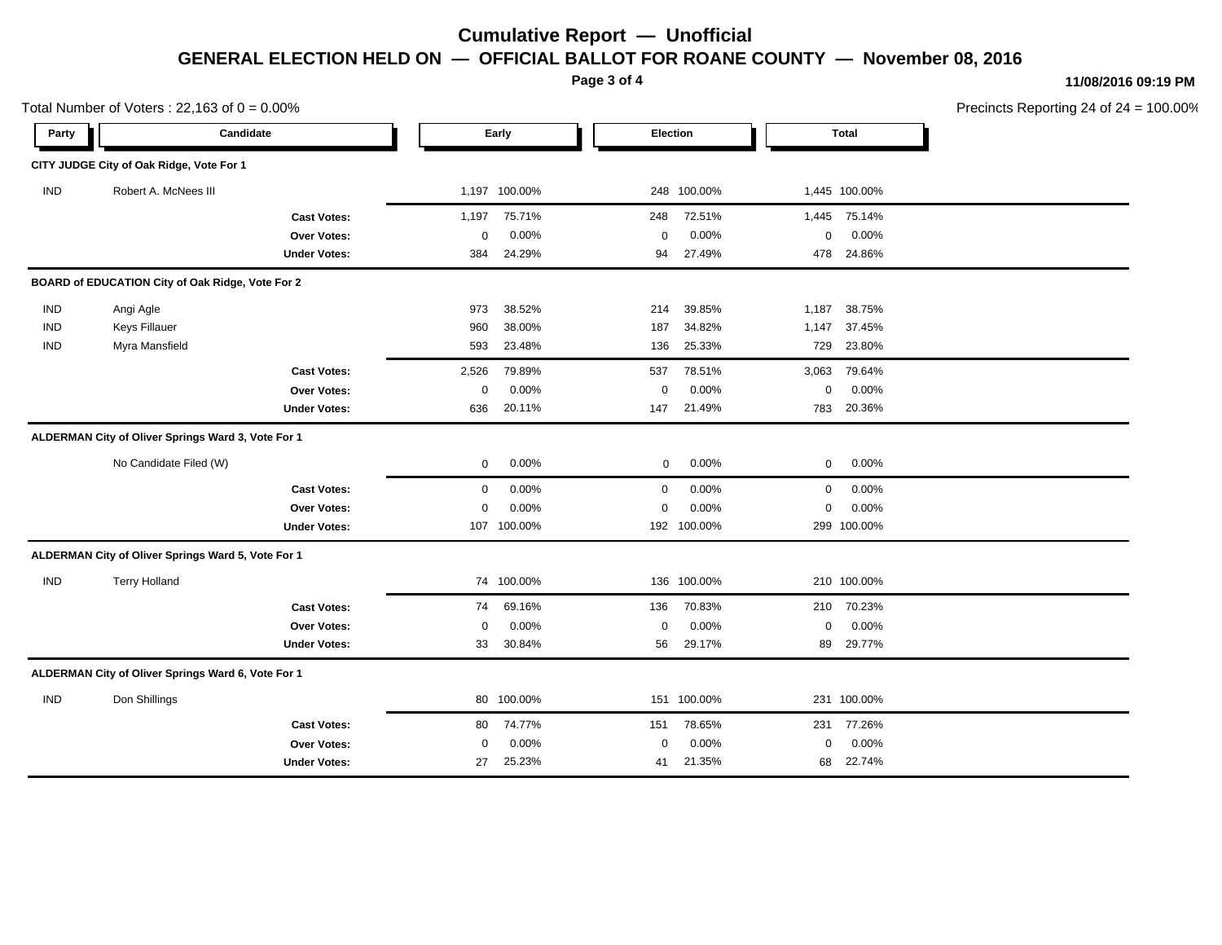**Page 3 of 4**

#### **11/08/2016 09:19 PM**

Precincts Reporting 24 of 24 = 100.00%

| Total Number of Voters: $22,163$ of $0 = 0.00\%$ |                                                    |                     |             |               |             |             |             |               | Precincts Reporting 24 of 24 |
|--------------------------------------------------|----------------------------------------------------|---------------------|-------------|---------------|-------------|-------------|-------------|---------------|------------------------------|
| Party                                            | Candidate                                          |                     | Early       |               |             | Election    |             | <b>Total</b>  |                              |
|                                                  | CITY JUDGE City of Oak Ridge, Vote For 1           |                     |             |               |             |             |             |               |                              |
| <b>IND</b>                                       | Robert A. McNees III                               |                     |             | 1,197 100.00% |             | 248 100.00% |             | 1,445 100.00% |                              |
|                                                  |                                                    | <b>Cast Votes:</b>  | 1,197       | 75.71%        | 248         | 72.51%      |             | 1,445 75.14%  |                              |
|                                                  |                                                    | Over Votes:         | 0           | 0.00%         | 0           | 0.00%       | $\mathbf 0$ | 0.00%         |                              |
|                                                  |                                                    | <b>Under Votes:</b> | 384         | 24.29%        | 94          | 27.49%      | 478         | 24.86%        |                              |
|                                                  | BOARD of EDUCATION City of Oak Ridge, Vote For 2   |                     |             |               |             |             |             |               |                              |
| <b>IND</b>                                       | Angi Agle                                          |                     | 973         | 38.52%        | 214         | 39.85%      | 1,187       | 38.75%        |                              |
| <b>IND</b>                                       | <b>Keys Fillauer</b>                               |                     | 960         | 38.00%        | 187         | 34.82%      | 1,147       | 37.45%        |                              |
| <b>IND</b>                                       | Myra Mansfield                                     |                     | 593         | 23.48%        | 136         | 25.33%      | 729         | 23.80%        |                              |
|                                                  |                                                    | <b>Cast Votes:</b>  | 2,526       | 79.89%        | 537         | 78.51%      | 3,063       | 79.64%        |                              |
|                                                  |                                                    | <b>Over Votes:</b>  | 0           | 0.00%         | $\mathbf 0$ | 0.00%       | 0           | 0.00%         |                              |
|                                                  |                                                    | <b>Under Votes:</b> | 636         | 20.11%        | 147         | 21.49%      | 783         | 20.36%        |                              |
|                                                  | ALDERMAN City of Oliver Springs Ward 3, Vote For 1 |                     |             |               |             |             |             |               |                              |
|                                                  | No Candidate Filed (W)                             |                     | 0           | 0.00%         | 0           | 0.00%       | $\mathbf 0$ | 0.00%         |                              |
|                                                  |                                                    | <b>Cast Votes:</b>  | $\mathbf 0$ | 0.00%         | $\mathbf 0$ | 0.00%       | $\mathbf 0$ | 0.00%         |                              |
|                                                  |                                                    | Over Votes:         | 0           | 0.00%         | $\mathbf 0$ | 0.00%       | $\mathbf 0$ | 0.00%         |                              |
|                                                  |                                                    | <b>Under Votes:</b> |             | 107 100.00%   |             | 192 100.00% |             | 299 100.00%   |                              |
|                                                  | ALDERMAN City of Oliver Springs Ward 5, Vote For 1 |                     |             |               |             |             |             |               |                              |
| <b>IND</b>                                       | <b>Terry Holland</b>                               |                     |             | 74 100.00%    |             | 136 100.00% |             | 210 100.00%   |                              |
|                                                  |                                                    | <b>Cast Votes:</b>  | 74          | 69.16%        | 136         | 70.83%      | 210         | 70.23%        |                              |
|                                                  |                                                    | Over Votes:         | $\mathbf 0$ | 0.00%         | $\mathbf 0$ | 0.00%       | $\mathbf 0$ | 0.00%         |                              |
|                                                  |                                                    | <b>Under Votes:</b> | 33          | 30.84%        | 56          | 29.17%      | 89          | 29.77%        |                              |
|                                                  | ALDERMAN City of Oliver Springs Ward 6, Vote For 1 |                     |             |               |             |             |             |               |                              |
| <b>IND</b>                                       | Don Shillings                                      |                     |             | 80 100.00%    |             | 151 100.00% |             | 231 100.00%   |                              |
|                                                  |                                                    | <b>Cast Votes:</b>  | 80          | 74.77%        | 151         | 78.65%      | 231         | 77.26%        |                              |
|                                                  |                                                    | Over Votes:         | 0           | 0.00%         | 0           | 0.00%       | 0           | 0.00%         |                              |
|                                                  |                                                    | <b>Under Votes:</b> | 27          | 25.23%        | 41          | 21.35%      | 68          | 22.74%        |                              |